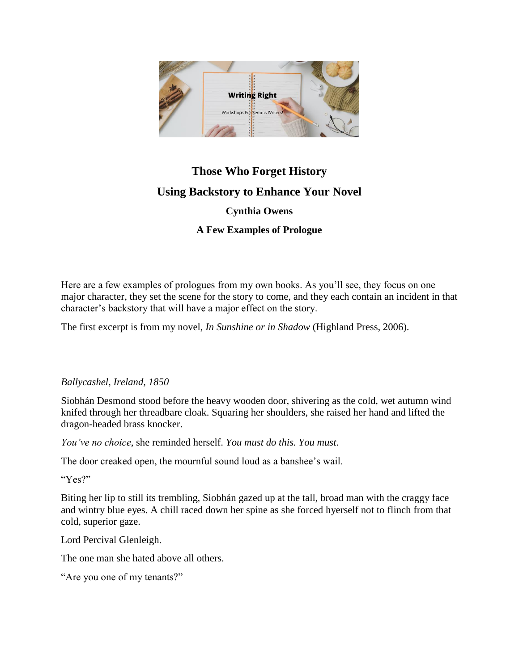

## **Those Who Forget History Using Backstory to Enhance Your Novel Cynthia Owens**

**A Few Examples of Prologue**

Here are a few examples of prologues from my own books. As you'll see, they focus on one major character, they set the scene for the story to come, and they each contain an incident in that character's backstory that will have a major effect on the story.

The first excerpt is from my novel, *In Sunshine or in Shadow* (Highland Press, 2006).

## *Ballycashel, Ireland, 1850*

Siobhán Desmond stood before the heavy wooden door, shivering as the cold, wet autumn wind knifed through her threadbare cloak. Squaring her shoulders, she raised her hand and lifted the dragon-headed brass knocker.

*You've no choice*, she reminded herself. *You must do this. You must*.

The door creaked open, the mournful sound loud as a banshee's wail.

"Yes?"

Biting her lip to still its trembling, Siobhán gazed up at the tall, broad man with the craggy face and wintry blue eyes. A chill raced down her spine as she forced hyerself not to flinch from that cold, superior gaze.

Lord Percival Glenleigh.

The one man she hated above all others.

"Are you one of my tenants?"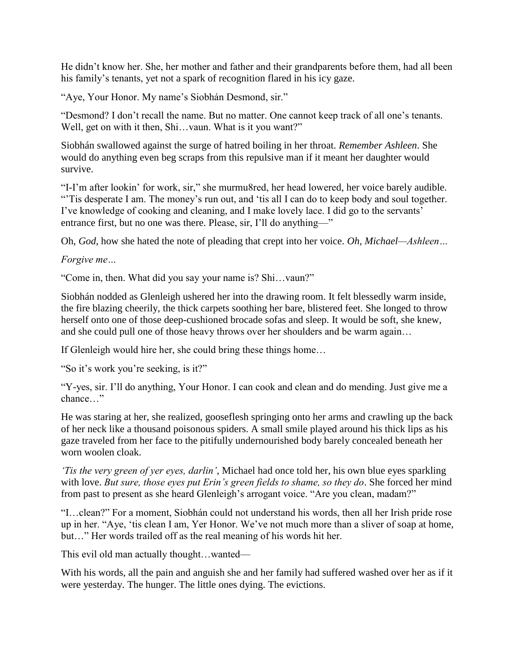He didn't know her. She, her mother and father and their grandparents before them, had all been his family's tenants, yet not a spark of recognition flared in his icy gaze.

"Aye, Your Honor. My name's Siobhán Desmond, sir."

"Desmond? I don't recall the name. But no matter. One cannot keep track of all one's tenants. Well, get on with it then, Shi...vaun. What is it you want?"

Siobhán swallowed against the surge of hatred boiling in her throat. *Remember Ashleen*. She would do anything even beg scraps from this repulsive man if it meant her daughter would survive.

"I-I'm after lookin' for work, sir," she murmu8red, her head lowered, her voice barely audible. "Tis desperate I am. The money's run out, and 'tis all I can do to keep body and soul together. I've knowledge of cooking and cleaning, and I make lovely lace. I did go to the servants' entrance first, but no one was there. Please, sir, I'll do anything—"

Oh, *God*, how she hated the note of pleading that crept into her voice. *Oh, Michael—Ashleen…*

*Forgive me…*

"Come in, then. What did you say your name is? Shi…vaun?"

Siobhán nodded as Glenleigh ushered her into the drawing room. It felt blessedly warm inside, the fire blazing cheerily, the thick carpets soothing her bare, blistered feet. She longed to throw herself onto one of those deep-cushioned brocade sofas and sleep. It would be soft, she knew, and she could pull one of those heavy throws over her shoulders and be warm again…

If Glenleigh would hire her, she could bring these things home…

"So it's work you're seeking, is it?"

"Y-yes, sir. I'll do anything, Your Honor. I can cook and clean and do mending. Just give me a chance…"

He was staring at her, she realized, gooseflesh springing onto her arms and crawling up the back of her neck like a thousand poisonous spiders. A small smile played around his thick lips as his gaze traveled from her face to the pitifully undernourished body barely concealed beneath her worn woolen cloak.

*'Tis the very green of yer eyes, darlin'*, Michael had once told her, his own blue eyes sparkling with love. *But sure, those eyes put Erin's green fields to shame, so they do*. She forced her mind from past to present as she heard Glenleigh's arrogant voice. "Are you clean, madam?"

"I…clean?" For a moment, Siobhán could not understand his words, then all her Irish pride rose up in her. "Aye, 'tis clean I am, Yer Honor. We've not much more than a sliver of soap at home, but…" Her words trailed off as the real meaning of his words hit her.

This evil old man actually thought…wanted—

With his words, all the pain and anguish she and her family had suffered washed over her as if it were yesterday. The hunger. The little ones dying. The evictions.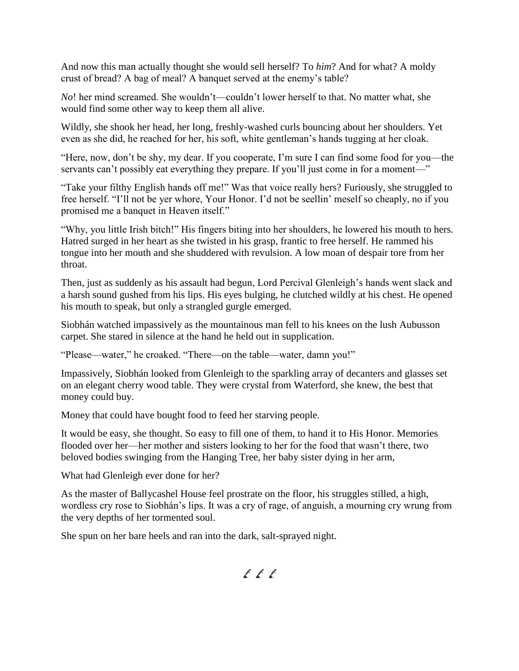And now this man actually thought she would sell herself? To *him*? And for what? A moldy crust of bread? A bag of meal? A banquet served at the enemy's table?

*No*! her mind screamed. She wouldn't—couldn't lower herself to that. No matter what, she would find some other way to keep them all alive.

Wildly, she shook her head, her long, freshly-washed curls bouncing about her shoulders. Yet even as she did, he reached for her, his soft, white gentleman's hands tugging at her cloak.

"Here, now, don't be shy, my dear. If you cooperate, I'm sure I can find some food for you—the servants can't possibly eat everything they prepare. If you'll just come in for a moment—"

"Take your filthy English hands off me!" Was that voice really hers? Furiously, she struggled to free herself. "I'll not be yer whore, Your Honor. I'd not be seellin' meself so cheaply, no if you promised me a banquet in Heaven itself."

"Why, you little Irish bitch!" His fingers biting into her shoulders, he lowered his mouth to hers. Hatred surged in her heart as she twisted in his grasp, frantic to free herself. He rammed his tongue into her mouth and she shuddered with revulsion. A low moan of despair tore from her throat.

Then, just as suddenly as his assault had begun, Lord Percival Glenleigh's hands went slack and a harsh sound gushed from his lips. His eyes bulging, he clutched wildly at his chest. He opened his mouth to speak, but only a strangled gurgle emerged.

Siobhán watched impassively as the mountainous man fell to his knees on the lush Aubusson carpet. She stared in silence at the hand he held out in supplication.

"Please—water," he croaked. "There—on the table—water, damn you!"

Impassively, Siobhán looked from Glenleigh to the sparkling array of decanters and glasses set on an elegant cherry wood table. They were crystal from Waterford, she knew, the best that money could buy.

Money that could have bought food to feed her starving people.

It would be easy, she thought. So easy to fill one of them, to hand it to His Honor. Memories flooded over her—her mother and sisters looking to her for the food that wasn't there, two beloved bodies swinging from the Hanging Tree, her baby sister dying in her arm,

What had Glenleigh ever done for her?

As the master of Ballycashel House feel prostrate on the floor, his struggles stilled, a high, wordless cry rose to Siobhán's lips. It was a cry of rage, of anguish, a mourning cry wrung from the very depths of her tormented soul.

She spun on her bare heels and ran into the dark, salt-sprayed night.

 $f f f$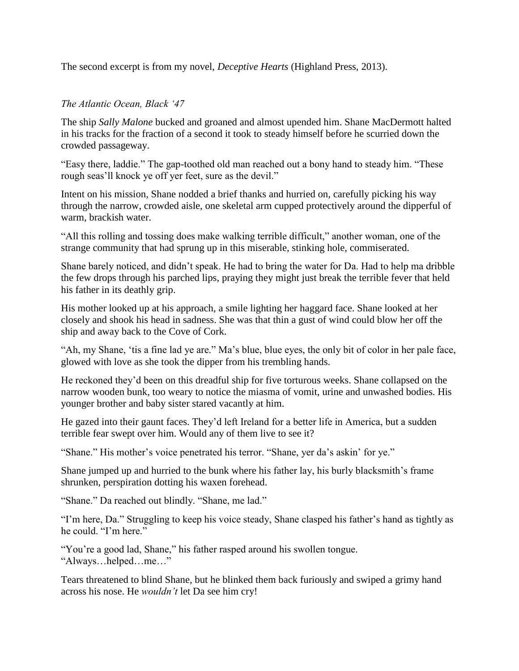The second excerpt is from my novel, *Deceptive Hearts* (Highland Press, 2013).

## *The Atlantic Ocean, Black '47*

The ship *Sally Malone* bucked and groaned and almost upended him. Shane MacDermott halted in his tracks for the fraction of a second it took to steady himself before he scurried down the crowded passageway.

"Easy there, laddie." The gap-toothed old man reached out a bony hand to steady him. "These rough seas'll knock ye off yer feet, sure as the devil."

Intent on his mission, Shane nodded a brief thanks and hurried on, carefully picking his way through the narrow, crowded aisle, one skeletal arm cupped protectively around the dipperful of warm, brackish water.

"All this rolling and tossing does make walking terrible difficult," another woman, one of the strange community that had sprung up in this miserable, stinking hole, commiserated.

Shane barely noticed, and didn't speak. He had to bring the water for Da. Had to help ma dribble the few drops through his parched lips, praying they might just break the terrible fever that held his father in its deathly grip.

His mother looked up at his approach, a smile lighting her haggard face. Shane looked at her closely and shook his head in sadness. She was that thin a gust of wind could blow her off the ship and away back to the Cove of Cork.

"Ah, my Shane, 'tis a fine lad ye are." Ma's blue, blue eyes, the only bit of color in her pale face, glowed with love as she took the dipper from his trembling hands.

He reckoned they'd been on this dreadful ship for five torturous weeks. Shane collapsed on the narrow wooden bunk, too weary to notice the miasma of vomit, urine and unwashed bodies. His younger brother and baby sister stared vacantly at him.

He gazed into their gaunt faces. They'd left Ireland for a better life in America, but a sudden terrible fear swept over him. Would any of them live to see it?

"Shane." His mother's voice penetrated his terror. "Shane, yer da's askin' for ye."

Shane jumped up and hurried to the bunk where his father lay, his burly blacksmith's frame shrunken, perspiration dotting his waxen forehead.

"Shane." Da reached out blindly. "Shane, me lad."

"I'm here, Da." Struggling to keep his voice steady, Shane clasped his father's hand as tightly as he could. "I'm here."

"You're a good lad, Shane," his father rasped around his swollen tongue. "Always…helped…me…"

Tears threatened to blind Shane, but he blinked them back furiously and swiped a grimy hand across his nose. He *wouldn't* let Da see him cry!